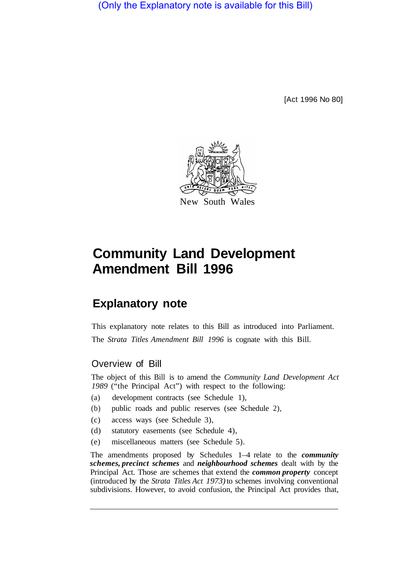(Only the Explanatory note is available for this Bill)

[Act 1996 No 80]



# **Community Land Development Amendment Bill 1996**

# **Explanatory note**

This explanatory note relates to this Bill as introduced into Parliament. The *Strata Titles Amendment Bill 1996* is cognate with this Bill.

# Overview of Bill

The object of this Bill is to amend the *Community Land Development Act 1989* ("the Principal Act") with respect to the following:

- (a) development contracts (see Schedule 1),
- (b) public roads and public reserves (see Schedule 2),
- (c) access ways (see Schedule 3),
- (d) statutory easements (see Schedule 4),
- (e) miscellaneous matters (see Schedule 5).

The amendments proposed by Schedules 1–4 relate to the *community schemes, precinct schemes* and *neighbourhood schemes* dealt with by the Principal Act. Those are schemes that extend the *common property* concept (introduced by the *Strata Titles Act 1973)* to schemes involving conventional subdivisions. However, to avoid confusion, the Principal Act provides that,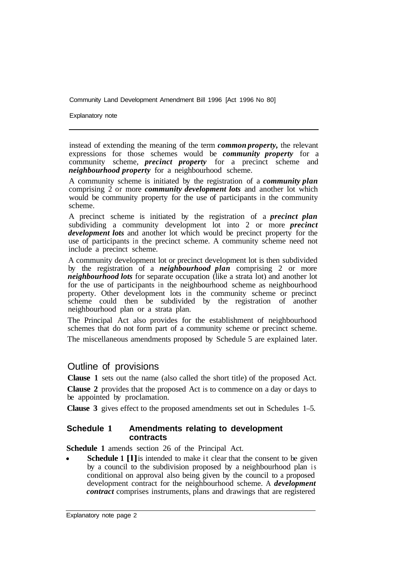Explanatory note

instead of extending the meaning of the term *common property,* the relevant expressions for those schemes would be *community property* for a community scheme, *precinct property* for a precinct scheme and *neighbourhood property* for a neighbourhood scheme.

A community scheme is initiated by the registration of a *community plan*  comprising 2 or more *community development lots* and another lot which would be community property for the use of participants in the community scheme.

A precinct scheme is initiated by the registration of a *precinct plan*  subdividing a community development lot into 2 or more *precinct development lots* and another lot which would be precinct property for the use of participants in the precinct scheme. A community scheme need not include a precinct scheme.

A community development lot or precinct development lot is then subdivided by the registration of a *neighbourhood plan* comprising 2 or more *neighbourhood lots* for separate occupation (like a strata lot) and another lot for the use of participants in the neighbourhood scheme as neighbourhood property. Other development lots in the community scheme or precinct scheme could then be subdivided by the registration of another neighbourhood plan or a strata plan.

The Principal Act also provides for the establishment of neighbourhood schemes that do not form part of a community scheme or precinct scheme.

The miscellaneous amendments proposed by Schedule 5 are explained later.

## Outline of provisions

**Clause 1** sets out the name (also called the short title) of the proposed Act.

**Clause 2** provides that the proposed Act is to commence on a day or days to be appointed by proclamation.

**Clause 3** gives effect to the proposed amendments set out in Schedules 1–5.

#### **Schedule 1 Amendments relating to development contracts**

**Schedule 1** amends section 26 of the Principal Act.

**Schedule 1 [1]** is intended to make it clear that the consent to be given by a council to the subdivision proposed by a neighbourhood plan is conditional on approval also being given by the council to a proposed development contract for the neighbourhood scheme. A *development contract* comprises instruments, plans and drawings that are registered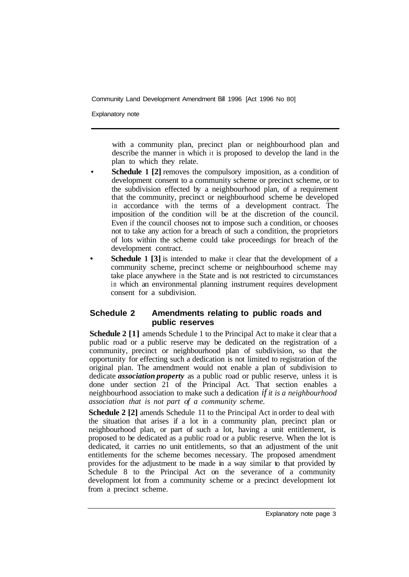Explanatory note

with a community plan, precinct plan or neighbourhood plan and describe the manner in which it is proposed to develop the land in the plan to which they relate.

- **Schedule 1 [2] removes the compulsory imposition, as a condition of** development consent to a community scheme or precinct scheme, or to the subdivision effected by a neighbourhood plan, of a requirement that the community, precinct or neighbourhood scheme be developed in accordance with the terms of a development contract. The imposition of the condition will be at the discretion of the council. Even if the council chooses not to impose such a condition, or chooses not to take any action for a breach of such a condition, the proprietors of lots within the scheme could take proceedings for breach of the development contract.
- **Schedule 1 [3]** is intended to make it clear that the development of a community scheme, precinct scheme or neighbourhood scheme may take place anywhere in the State and is not restricted to circumstances in which an environmental planning instrument requires development consent for a subdivision.

#### **Schedule 2 Amendments relating to public roads and public reserves**

**Schedule 2 [1]** amends Schedule 1 to the Principal Act to make it clear that a public road or a public reserve may be dedicated on the registration of a community, precinct or neighbourhood plan of subdivision, so that the opportunity for effecting such a dedication is not limited to registration of the original plan. The amendment would not enable a plan of subdivision to dedicate *association property* as a public road or public reserve, unless it is done under section 21 of the Principal Act. That section enables a neighbourhood association to make such a dedication *if it is a neighbourhood association that is not part of a community scheme.* 

**Schedule 2 [2]** amends Schedule 11 to the Principal Act in order to deal with the situation that arises if a lot in a community plan, precinct plan or neighbourhood plan, or part of such a lot, having a unit entitlement, is proposed to be dedicated as a public road or a public reserve. When the lot is dedicated, it carries no unit entitlements, so that an adjustment of the unit entitlements for the scheme becomes necessary. The proposed amendment provides for the adjustment to be made in a way similar to that provided by Schedule 8 to the Principal Act on the severance of a community development lot from a community scheme or a precinct development lot from a precinct scheme.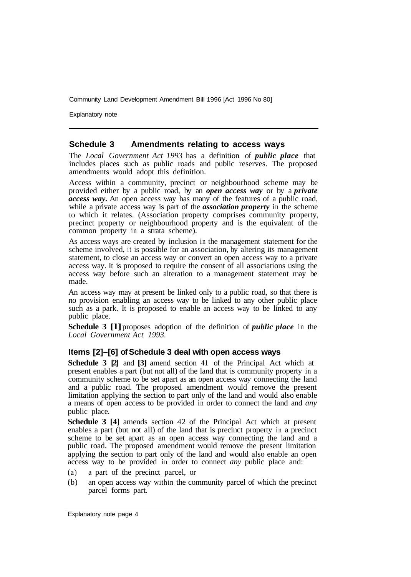Explanatory note

#### **Schedule 3 Amendments relating to access ways**

The *Local Government Act 1993* has a definition of *public place* that includes places such as public roads and public reserves. The proposed amendments would adopt this definition.

Access within a community, precinct or neighbourhood scheme may be provided either by a public road, by an *open access way* or by a *private access way.* An open access way has many of the features of a public road, while a private access way is part of the *association property* in the scheme to which it relates. (Association property comprises community property, precinct property or neighbourhood property and is the equivalent of the common property in a strata scheme).

As access ways are created by inclusion in the management statement for the scheme involved, it is possible for an association, by altering its management statement, to close an access way or convert an open access way to a private access way. It is proposed to require the consent of all associations using the access way before such an alteration to a management statement may be made.

An access way may at present be linked only to a public road, so that there is no provision enabling an access way to be linked to any other public place such as a park. It is proposed to enable an access way to be linked to any public place.

**Schedule 3 [l]** proposes adoption of the definition of *public place* in the *Local Government Act 1993.* 

#### **Items [2]–[6] of Schedule 3 deal with open access ways**

**Schedule 3 [2]** and **[3]** amend section 41 of the Principal Act which at present enables a part (but not all) of the land that is community property in a community scheme to be set apart as an open access way connecting the land and a public road. The proposed amendment would remove the present limitation applying the section to part only of the land and would also enable a means of open access to be provided in order to connect the land and *any*  public place.

**Schedule 3 [4]** amends section 42 of the Principal Act which at present enables a part (but not all) of the land that is precinct property in a precinct scheme to be set apart as an open access way connecting the land and a public road. The proposed amendment would remove the present limitation applying the section to part only of the land and would also enable an open access way to be provided in order to connect *any* public place and:

- (a) a part of the precinct parcel, or
- (b) an open access way within the community parcel of which the precinct parcel forms part.

Explanatory note page 4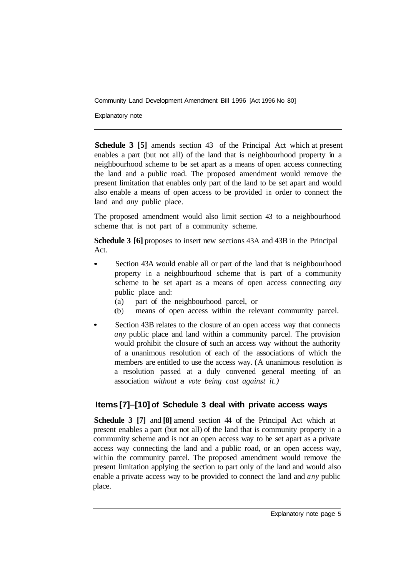Explanatory note

**Schedule 3 [5]** amends section 43 of the Principal Act which at present enables a part (but not all) of the land that is neighbourhood property in a neighbourhood scheme to be set apart as a means of open access connecting the land and a public road. The proposed amendment would remove the present limitation that enables only part of the land to be set apart and would also enable a means of open access to be provided in order to connect the land and *any* public place.

The proposed amendment would also limit section 43 to a neighbourhood scheme that is not part of a community scheme.

**Schedule 3 [6]** proposes to insert new sections 43A and 43B in the Principal Act.

- Section 43A would enable all or part of the land that is neighbourhood property in a neighbourhood scheme that is part of a community scheme to be set apart as a means of open access connecting *any*  public place and:
	- (a) part of the neighbourhood parcel, or
	- (b) means of open access within the relevant community parcel.
- Section 43B relates to the closure of an open access way that connects *any* public place and land within a community parcel. The provision would prohibit the closure of such an access way without the authority of a unanimous resolution of each of the associations of which the members are entitled to use the access way. (A unanimous resolution is a resolution passed at a duly convened general meeting of an association *without a vote being cast against it.)*

## **Items [7]–[10] of Schedule 3 deal with private access ways**

**Schedule 3 [7]** and **[8]** amend section 44 of the Principal Act which at present enables a part (but not all) of the land that is community property in a community scheme and is not an open access way to be set apart as a private access way connecting the land and a public road, or an open access way, within the community parcel. The proposed amendment would remove the present limitation applying the section to part only of the land and would also enable a private access way to be provided to connect the land and *any* public place.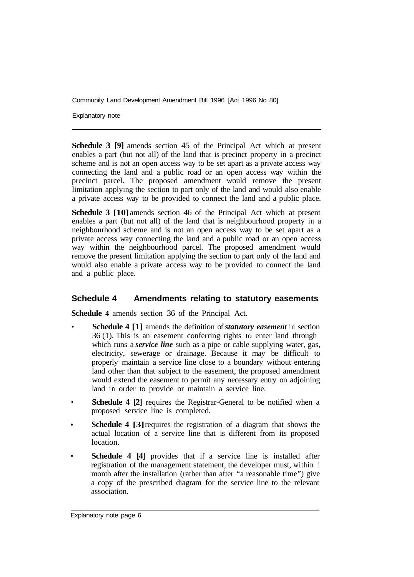Explanatory note

**Schedule 3 [9]** amends section 45 of the Principal Act which at present enables a part (but not all) of the land that is precinct property in a precinct scheme and is not an open access way to be set apart as a private access way connecting the land and a public road or an open access way within the precinct parcel. The proposed amendment would remove the present limitation applying the section to part only of the land and would also enable a private access way to be provided to connect the land and a public place.

**Schedule 3 [10]** amends section 46 of the Principal Act which at present enables a part (but not all) of the land that is neighbourhood property in a neighbourhood scheme and is not an open access way to be set apart as a private access way connecting the land and a public road or an open access way within the neighbourhood parcel. The proposed amendment would remove the present limitation applying the section to part only of the land and would also enable a private access way to be provided to connect the land and a public place.

#### **Schedule 4 Amendments relating to statutory easements**

**Schedule 4** amends section 36 of the Principal Act.

- **Schedule 4 [1]** amends the definition of *statutory easement* in section 36 (1). This is an easement conferring rights to enter land through which runs a *service line* such as a pipe or cable supplying water, gas, electricity, sewerage or drainage. Because it may be difficult to properly maintain a service line close to a boundary without entering land other than that subject to the easement, the proposed amendment would extend the easement to permit any necessary entry on adjoining land in order to provide or maintain a service line.
- **Schedule 4 [2] requires the Registrar-General to be notified when a** proposed service line is completed.
- **Schedule 4 [3] requires the registration of a diagram that shows the** actual location of a service line that is different from its proposed location.
- **Schedule 4 [4]** provides that if a service line is installed after registration of the management statement, the developer must, within I month after the installation (rather than after "a reasonable time") give a copy of the prescribed diagram for the service line to the relevant association.